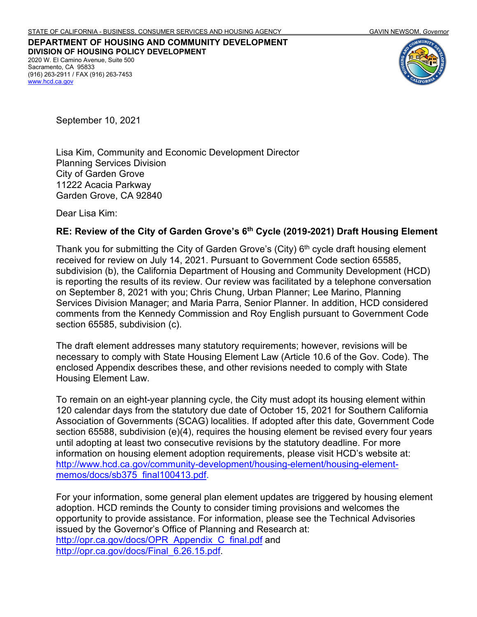**DEPARTMENT OF HOUSING AND COMMUNITY DEVELOPMENT DIVISION OF HOUSING POLICY DEVELOPMENT** 2020 W. El Camino Avenue, Suite 500 Sacramento, CA 95833 (916) 263-2911 / FAX (916) 263-7453 [www.hcd.ca.gov](http://www.hcd.ca.gov/)



September 10, 2021

Lisa Kim, Community and Economic Development Director Planning Services Division City of Garden Grove 11222 Acacia Parkway Garden Grove, CA 92840

Dear Lisa Kim:

#### **RE: Review of the City of Garden Grove's 6th Cycle (2019-2021) Draft Housing Element**

Thank you for submitting the City of Garden Grove's (City)  $6<sup>th</sup>$  cycle draft housing element received for review on July 14, 2021. Pursuant to Government Code section 65585, subdivision (b), the California Department of Housing and Community Development (HCD) is reporting the results of its review. Our review was facilitated by a telephone conversation on September 8, 2021 with you; Chris Chung, Urban Planner; Lee Marino, Planning Services Division Manager; and Maria Parra, Senior Planner. In addition, HCD considered comments from the Kennedy Commission and Roy English pursuant to Government Code section 65585, subdivision (c).

The draft element addresses many statutory requirements; however, revisions will be necessary to comply with State Housing Element Law (Article 10.6 of the Gov. Code). The enclosed Appendix describes these, and other revisions needed to comply with State Housing Element Law.

To remain on an eight-year planning cycle, the City must adopt its housing element within 120 calendar days from the statutory due date of October 15, 2021 for Southern California Association of Governments (SCAG) localities. If adopted after this date, Government Code section 65588, subdivision (e)(4), requires the housing element be revised every four years until adopting at least two consecutive revisions by the statutory deadline. For more information on housing element adoption requirements, please visit HCD's website at: [http://www.hcd.ca.gov/community-development/housing-element/housing-element](http://www.hcd.ca.gov/community-development/housing-element/housing-element-memos/docs/sb375_final100413.pdf)memos/docs/sb375\_final100413.pdf.

For your information, some general plan element updates are triggered by housing element adoption. HCD reminds the County to consider timing provisions and welcomes the opportunity to provide assistance. For information, please see the Technical Advisories issued by the Governor's Office of Planning and Research at: [http://opr.ca.gov/docs/OPR\\_Appendix\\_C\\_final.pdf](http://opr.ca.gov/docs/OPR_Appendix_C_final.pdf) and [http://opr.ca.gov/docs/Final\\_6.26.15.pdf.](http://opr.ca.gov/docs/Final_6.26.15.pdf)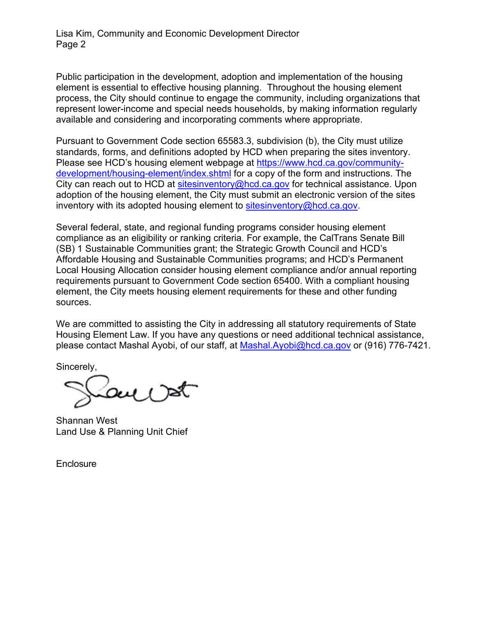Lisa Kim, Community and Economic Development Director Page 2

Public participation in the development, adoption and implementation of the housing element is essential to effective housing planning. Throughout the housing element process, the City should continue to engage the community, including organizations that represent lower-income and special needs households, by making information regularly available and considering and incorporating comments where appropriate.

Pursuant to Government Code section 65583.3, subdivision (b), the City must utilize standards, forms, and definitions adopted by HCD when preparing the sites inventory. Please see HCD's housing element webpage at [https://www.hcd.ca.gov/community](https://www.hcd.ca.gov/community-development/housing-element/index.shtml)development/housing-element/index.shtml for a copy of the form and instructions. The City can reach out to HCD at [sitesinventory@hcd.ca.gov](mailto:sitesinventory@hcd.ca.gov) for technical assistance. Upon adoption of the housing element, the City must submit an electronic version of the sites inventory with its adopted housing element to [sitesinventory@hcd.ca.gov.](mailto:sitesinventory@hcd.ca.gov)

Several federal, state, and regional funding programs consider housing element compliance as an eligibility or ranking criteria. For example, the CalTrans Senate Bill (SB) 1 Sustainable Communities grant; the Strategic Growth Council and HCD's Affordable Housing and Sustainable Communities programs; and HCD's Permanent Local Housing Allocation consider housing element compliance and/or annual reporting requirements pursuant to Government Code section 65400. With a compliant housing element, the City meets housing element requirements for these and other funding sources.

We are committed to assisting the City in addressing all statutory requirements of State Housing Element Law. If you have any questions or need additional technical assistance, please contact Mashal Ayobi, of our staff, at [Mashal.Ayobi@hcd.ca.gov](mailto:Mashal.Ayobi@hcd.ca.gov) or (916) 776-7421.

Sincerely,

Shannan West Land Use & Planning Unit Chief

**Enclosure**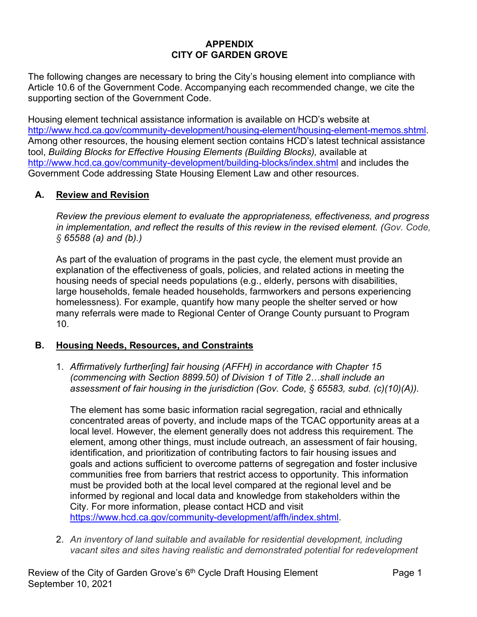# **APPENDIX CITY OF GARDEN GROVE**

The following changes are necessary to bring the City's housing element into compliance with Article 10.6 of the Government Code. Accompanying each recommended change, we cite the supporting section of the Government Code.

Housing element technical assistance information is available on HCD's website at [http://www.hcd.ca.gov/community-development/housing-element/housing-element-memos.shtml.](http://www.hcd.ca.gov/community-development/housing-element/housing-element-memos.shtml) Among other resources, the housing element section contains HCD's latest technical assistance tool, *Building Blocks for Effective Housing Elements (Building Blocks),* available at <http://www.hcd.ca.gov/community-development/building-blocks/index.shtml> and includes the Government Code addressing State Housing Element Law and other resources.

### **A. Review and Revision**

*Review the previous element to evaluate the appropriateness, effectiveness, and progress in implementation, and reflect the results of this review in the revised element. (Gov. Code, § 65588 (a) and (b).)*

As part of the evaluation of programs in the past cycle, the element must provide an explanation of the effectiveness of goals, policies, and related actions in meeting the housing needs of special needs populations (e.g., elderly, persons with disabilities, large households, female headed households, farmworkers and persons experiencing homelessness). For example, quantify how many people the shelter served or how many referrals were made to Regional Center of Orange County pursuant to Program 10.

#### **B. Housing Needs, Resources, and Constraints**

1. *Affirmatively further[ing] fair housing (AFFH) in accordance with Chapter 15 (commencing with Section 8899.50) of Division 1 of Title 2…shall include an assessment of fair housing in the jurisdiction (Gov. Code, § 65583, subd. (c)(10)(A)).*

The element has some basic information racial segregation, racial and ethnically concentrated areas of poverty, and include maps of the TCAC opportunity areas at a local level. However, the element generally does not address this requirement. The element, among other things, must include outreach, an assessment of fair housing, identification, and prioritization of contributing factors to fair housing issues and goals and actions sufficient to overcome patterns of segregation and foster inclusive communities free from barriers that restrict access to opportunity. This information must be provided both at the local level compared at the regional level and be informed by regional and local data and knowledge from stakeholders within the City. For more information, please contact HCD and visit [https://www.hcd.ca.gov/community-development/affh/index.shtml.](https://www.hcd.ca.gov/community-development/affh/index.shtml)

2. *An inventory of land suitable and available for residential development, including vacant sites and sites having realistic and demonstrated potential for redevelopment*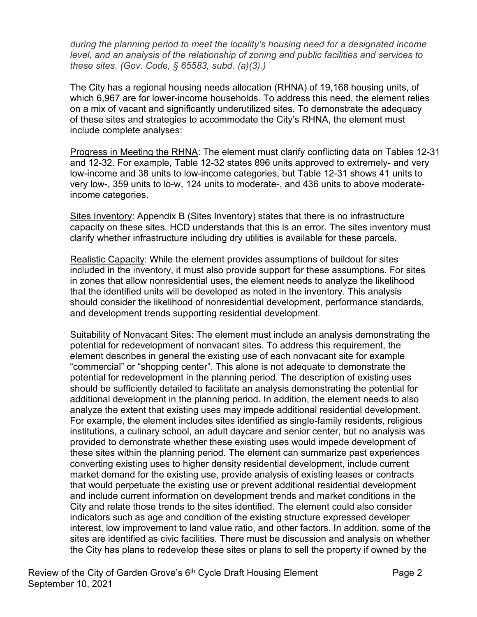*during the planning period to meet the locality's housing need for a designated income level, and an analysis of the relationship of zoning and public facilities and services to these sites. (Gov. Code, § 65583, subd. (a)(3).)*

The City has a regional housing needs allocation (RHNA) of 19,168 housing units, of which 6,967 are for lower-income households. To address this need, the element relies on a mix of vacant and significantly underutilized sites. To demonstrate the adequacy of these sites and strategies to accommodate the City's RHNA, the element must include complete analyses:

Progress in Meeting the RHNA: The element must clarify conflicting data on Tables 12-31 and 12-32. For example, Table 12-32 states 896 units approved to extremely- and very low-income and 38 units to low-income categories, but Table 12-31 shows 41 units to very low-, 359 units to lo-w, 124 units to moderate-, and 436 units to above moderateincome categories.

Sites Inventory: Appendix B (Sites Inventory) states that there is no infrastructure capacity on these sites. HCD understands that this is an error. The sites inventory must clarify whether infrastructure including dry utilities is available for these parcels.

Realistic Capacity: While the element provides assumptions of buildout for sites included in the inventory, it must also provide support for these assumptions. For sites in zones that allow nonresidential uses, the element needs to analyze the likelihood that the identified units will be developed as noted in the inventory. This analysis should consider the likelihood of nonresidential development, performance standards, and development trends supporting residential development.

Suitability of Nonvacant Sites: The element must include an analysis demonstrating the potential for redevelopment of nonvacant sites. To address this requirement, the element describes in general the existing use of each nonvacant site for example "commercial" or "shopping center". This alone is not adequate to demonstrate the potential for redevelopment in the planning period. The description of existing uses should be sufficiently detailed to facilitate an analysis demonstrating the potential for additional development in the planning period. In addition, the element needs to also analyze the extent that existing uses may impede additional residential development. For example, the element includes sites identified as single-family residents, religious institutions, a culinary school, an adult daycare and senior center, but no analysis was provided to demonstrate whether these existing uses would impede development of these sites within the planning period. The element can summarize past experiences converting existing uses to higher density residential development, include current market demand for the existing use, provide analysis of existing leases or contracts that would perpetuate the existing use or prevent additional residential development and include current information on development trends and market conditions in the City and relate those trends to the sites identified. The element could also consider indicators such as age and condition of the existing structure expressed developer interest, low improvement to land value ratio, and other factors. In addition, some of the sites are identified as civic facilities. There must be discussion and analysis on whether the City has plans to redevelop these sites or plans to sell the property if owned by the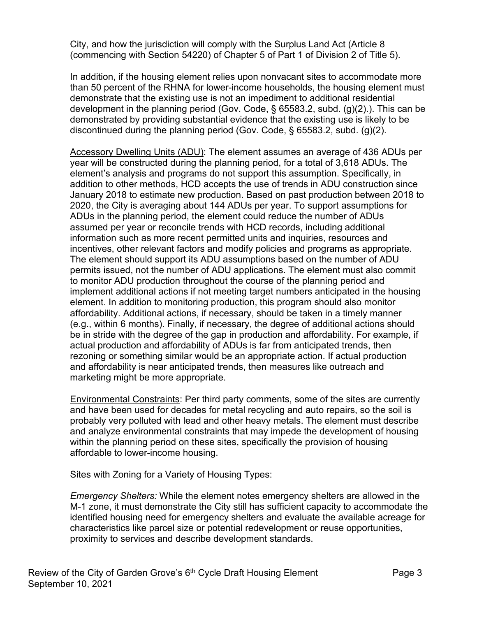City, and how the jurisdiction will comply with the Surplus Land Act (Article 8 (commencing with Section 54220) of Chapter 5 of Part 1 of Division 2 of Title 5).

In addition, if the housing element relies upon nonvacant sites to accommodate more than 50 percent of the RHNA for lower-income households, the housing element must demonstrate that the existing use is not an impediment to additional residential development in the planning period (Gov. Code, § 65583.2, subd. (g)(2).). This can be demonstrated by providing substantial evidence that the existing use is likely to be discontinued during the planning period (Gov. Code, § 65583.2, subd. (g)(2).

Accessory Dwelling Units (ADU): The element assumes an average of 436 ADUs per year will be constructed during the planning period, for a total of 3,618 ADUs. The element's analysis and programs do not support this assumption. Specifically, in addition to other methods, HCD accepts the use of trends in ADU construction since January 2018 to estimate new production. Based on past production between 2018 to 2020, the City is averaging about 144 ADUs per year. To support assumptions for ADUs in the planning period, the element could reduce the number of ADUs assumed per year or reconcile trends with HCD records, including additional information such as more recent permitted units and inquiries, resources and incentives, other relevant factors and modify policies and programs as appropriate. The element should support its ADU assumptions based on the number of ADU permits issued, not the number of ADU applications. The element must also commit to monitor ADU production throughout the course of the planning period and implement additional actions if not meeting target numbers anticipated in the housing element. In addition to monitoring production, this program should also monitor affordability. Additional actions, if necessary, should be taken in a timely manner (e.g., within 6 months). Finally, if necessary, the degree of additional actions should be in stride with the degree of the gap in production and affordability. For example, if actual production and affordability of ADUs is far from anticipated trends, then rezoning or something similar would be an appropriate action. If actual production and affordability is near anticipated trends, then measures like outreach and marketing might be more appropriate.

Environmental Constraints: Per third party comments, some of the sites are currently and have been used for decades for metal recycling and auto repairs, so the soil is probably very polluted with lead and other heavy metals. The element must describe and analyze environmental constraints that may impede the development of housing within the planning period on these sites, specifically the provision of housing affordable to lower-income housing.

# Sites with Zoning for a Variety of Housing Types:

*Emergency Shelters:* While the element notes emergency shelters are allowed in the M-1 zone, it must demonstrate the City still has sufficient capacity to accommodate the identified housing need for emergency shelters and evaluate the available acreage for characteristics like parcel size or potential redevelopment or reuse opportunities, proximity to services and describe development standards.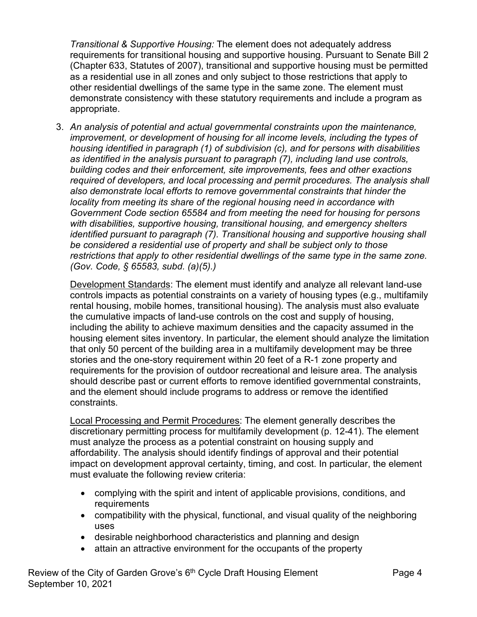*Transitional & Supportive Housing:* The element does not adequately address requirements for transitional housing and supportive housing. Pursuant to Senate Bill 2 (Chapter 633, Statutes of 2007), transitional and supportive housing must be permitted as a residential use in all zones and only subject to those restrictions that apply to other residential dwellings of the same type in the same zone. The element must demonstrate consistency with these statutory requirements and include a program as appropriate.

3. *An analysis of potential and actual governmental constraints upon the maintenance, improvement, or development of housing for all income levels, including the types of housing identified in paragraph (1) of subdivision (c), and for persons with disabilities as identified in the analysis pursuant to paragraph (7), including land use controls, building codes and their enforcement, site improvements, fees and other exactions required of developers, and local processing and permit procedures. The analysis shall also demonstrate local efforts to remove governmental constraints that hinder the locality from meeting its share of the regional housing need in accordance with Government Code section 65584 and from meeting the need for housing for persons with disabilities, supportive housing, transitional housing, and emergency shelters identified pursuant to paragraph (7). Transitional housing and supportive housing shall be considered a residential use of property and shall be subject only to those restrictions that apply to other residential dwellings of the same type in the same zone. (Gov. Code, § 65583, subd. (a)(5).)*

Development Standards: The element must identify and analyze all relevant land-use controls impacts as potential constraints on a variety of housing types (e.g., multifamily rental housing, mobile homes, transitional housing). The analysis must also evaluate the cumulative impacts of land-use controls on the cost and supply of housing, including the ability to achieve maximum densities and the capacity assumed in the housing element sites inventory. In particular, the element should analyze the limitation that only 50 percent of the building area in a multifamily development may be three stories and the one-story requirement within 20 feet of a R-1 zone property and requirements for the provision of outdoor recreational and leisure area. The analysis should describe past or current efforts to remove identified governmental constraints, and the element should include programs to address or remove the identified constraints.

Local Processing and Permit Procedures: The element generally describes the discretionary permitting process for multifamily development (p. 12-41). The element must analyze the process as a potential constraint on housing supply and affordability. The analysis should identify findings of approval and their potential impact on development approval certainty, timing, and cost. In particular, the element must evaluate the following review criteria:

- complying with the spirit and intent of applicable provisions, conditions, and requirements
- compatibility with the physical, functional, and visual quality of the neighboring uses
- desirable neighborhood characteristics and planning and design
- attain an attractive environment for the occupants of the property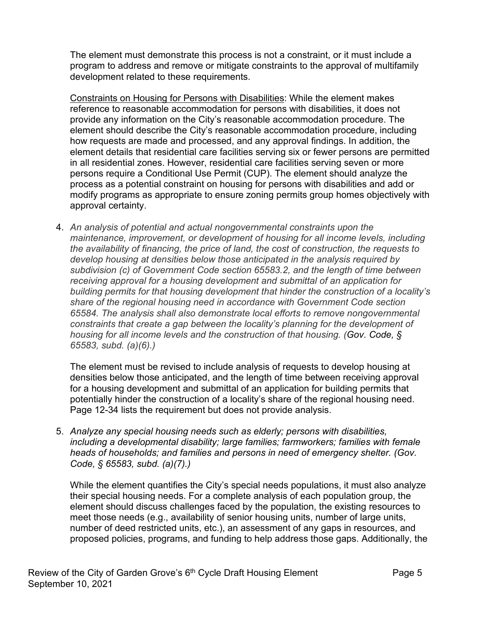The element must demonstrate this process is not a constraint, or it must include a program to address and remove or mitigate constraints to the approval of multifamily development related to these requirements.

Constraints on Housing for Persons with Disabilities: While the element makes reference to reasonable accommodation for persons with disabilities, it does not provide any information on the City's reasonable accommodation procedure. The element should describe the City's reasonable accommodation procedure, including how requests are made and processed, and any approval findings. In addition, the element details that residential care facilities serving six or fewer persons are permitted in all residential zones. However, residential care facilities serving seven or more persons require a Conditional Use Permit (CUP). The element should analyze the process as a potential constraint on housing for persons with disabilities and add or modify programs as appropriate to ensure zoning permits group homes objectively with approval certainty.

4. *An analysis of potential and actual nongovernmental constraints upon the maintenance, improvement, or development of housing for all income levels, including the availability of financing, the price of land, the cost of construction, the requests to develop housing at densities below those anticipated in the analysis required by subdivision (c) of Government Code section 65583.2, and the length of time between receiving approval for a housing development and submittal of an application for building permits for that housing development that hinder the construction of a locality's share of the regional housing need in accordance with Government Code section 65584. The analysis shall also demonstrate local efforts to remove nongovernmental constraints that create a gap between the locality's planning for the development of housing for all income levels and the construction of that housing. (Gov. Code, § 65583, subd. (a)(6).)*

The element must be revised to include analysis of requests to develop housing at densities below those anticipated, and the length of time between receiving approval for a housing development and submittal of an application for building permits that potentially hinder the construction of a locality's share of the regional housing need. Page 12-34 lists the requirement but does not provide analysis.

5. *Analyze any special housing needs such as elderly; persons with disabilities, including a developmental disability; large families; farmworkers; families with female heads of households; and families and persons in need of emergency shelter. (Gov. Code, § 65583, subd. (a)(7).)*

While the element quantifies the City's special needs populations, it must also analyze their special housing needs. For a complete analysis of each population group, the element should discuss challenges faced by the population, the existing resources to meet those needs (e.g., availability of senior housing units, number of large units, number of deed restricted units, etc.), an assessment of any gaps in resources, and proposed policies, programs, and funding to help address those gaps. Additionally, the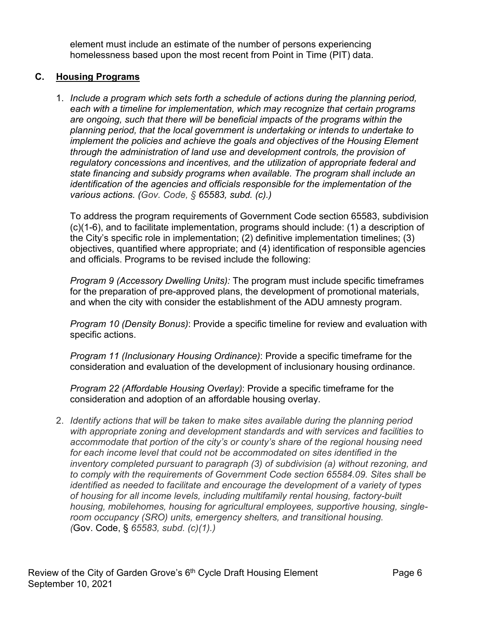element must include an estimate of the number of persons experiencing homelessness based upon the most recent from Point in Time (PIT) data.

### **C. Housing Programs**

1. *Include a program which sets forth a schedule of actions during the planning period, each with a timeline for implementation, which may recognize that certain programs are ongoing, such that there will be beneficial impacts of the programs within the planning period, that the local government is undertaking or intends to undertake to implement the policies and achieve the goals and objectives of the Housing Element through the administration of land use and development controls, the provision of regulatory concessions and incentives, and the utilization of appropriate federal and state financing and subsidy programs when available. The program shall include an identification of the agencies and officials responsible for the implementation of the various actions. (Gov. Code, § 65583, subd. (c).)*

To address the program requirements of Government Code section 65583, subdivision (c)(1-6), and to facilitate implementation, programs should include: (1) a description of the City's specific role in implementation; (2) definitive implementation timelines; (3) objectives, quantified where appropriate; and (4) identification of responsible agencies and officials. Programs to be revised include the following:

*Program 9 (Accessory Dwelling Units):* The program must include specific timeframes for the preparation of pre-approved plans, the development of promotional materials, and when the city with consider the establishment of the ADU amnesty program.

*Program 10 (Density Bonus)*: Provide a specific timeline for review and evaluation with specific actions.

*Program 11 (Inclusionary Housing Ordinance)*: Provide a specific timeframe for the consideration and evaluation of the development of inclusionary housing ordinance.

*Program 22 (Affordable Housing Overlay)*: Provide a specific timeframe for the consideration and adoption of an affordable housing overlay.

2. *Identify actions that will be taken to make sites available during the planning period with appropriate zoning and development standards and with services and facilities to accommodate that portion of the city's or county's share of the regional housing need for each income level that could not be accommodated on sites identified in the inventory completed pursuant to paragraph (3) of subdivision (a) without rezoning, and to comply with the requirements of Government Code section 65584.09. Sites shall be identified as needed to facilitate and encourage the development of a variety of types of housing for all income levels, including multifamily rental housing, factory-built housing, mobilehomes, housing for agricultural employees, supportive housing, singleroom occupancy (SRO) units, emergency shelters, and transitional housing. (*Gov. Code, § *65583, subd. (c)(1).)*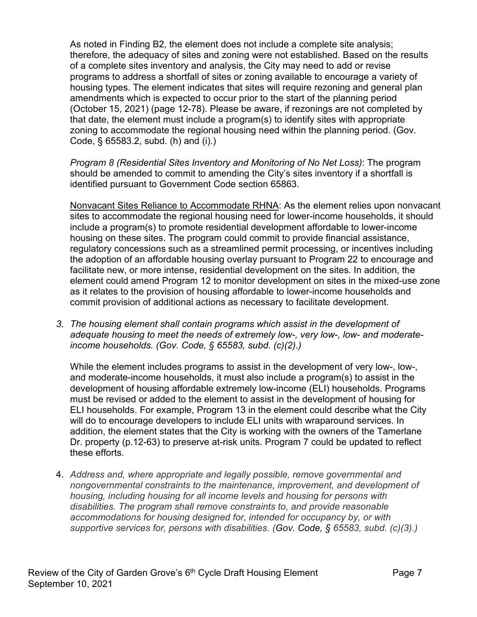As noted in Finding B2, the element does not include a complete site analysis; therefore, the adequacy of sites and zoning were not established. Based on the results of a complete sites inventory and analysis, the City may need to add or revise programs to address a shortfall of sites or zoning available to encourage a variety of housing types. The element indicates that sites will require rezoning and general plan amendments which is expected to occur prior to the start of the planning period (October 15, 2021) (page 12-78). Please be aware, if rezonings are not completed by that date, the element must include a program(s) to identify sites with appropriate zoning to accommodate the regional housing need within the planning period. (Gov. Code, § 65583.2, subd. (h) and (i).)

*Program 8 (Residential Sites Inventory and Monitoring of No Net Loss)*: The program should be amended to commit to amending the City's sites inventory if a shortfall is identified pursuant to Government Code section 65863.

Nonvacant Sites Reliance to Accommodate RHNA: As the element relies upon nonvacant sites to accommodate the regional housing need for lower-income households, it should include a program(s) to promote residential development affordable to lower-income housing on these sites. The program could commit to provide financial assistance, regulatory concessions such as a streamlined permit processing, or incentives including the adoption of an affordable housing overlay pursuant to Program 22 to encourage and facilitate new, or more intense, residential development on the sites. In addition, the element could amend Program 12 to monitor development on sites in the mixed-use zone as it relates to the provision of housing affordable to lower-income households and commit provision of additional actions as necessary to facilitate development.

*3. The housing element shall contain programs which assist in the development of adequate housing to meet the needs of extremely low-, very low-, low- and moderateincome households. (Gov. Code, § 65583, subd. (c)(2).)*

While the element includes programs to assist in the development of very low-, low-, and moderate-income households, it must also include a program(s) to assist in the development of housing affordable extremely low-income (ELI) households. Programs must be revised or added to the element to assist in the development of housing for ELI households. For example, Program 13 in the element could describe what the City will do to encourage developers to include ELI units with wraparound services. In addition, the element states that the City is working with the owners of the Tamerlane Dr. property (p.12-63) to preserve at-risk units. Program 7 could be updated to reflect these efforts.

4. *Address and, where appropriate and legally possible, remove governmental and nongovernmental constraints to the maintenance, improvement, and development of housing, including housing for all income levels and housing for persons with disabilities. The program shall remove constraints to, and provide reasonable accommodations for housing designed for, intended for occupancy by, or with supportive services for, persons with disabilities. (Gov. Code, § 65583, subd. (c)(3).)*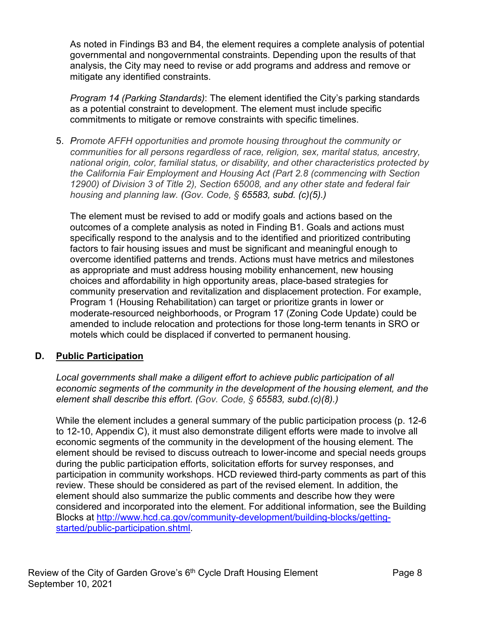As noted in Findings B3 and B4, the element requires a complete analysis of potential governmental and nongovernmental constraints. Depending upon the results of that analysis, the City may need to revise or add programs and address and remove or mitigate any identified constraints.

*Program 14 (Parking Standards)*: The element identified the City's parking standards as a potential constraint to development. The element must include specific commitments to mitigate or remove constraints with specific timelines.

5. *Promote AFFH opportunities and promote housing throughout the community or communities for all persons regardless of race, religion, sex, marital status, ancestry, national origin, color, familial status, or disability, and other characteristics protected by the California Fair Employment and Housing Act (Part 2.8 (commencing with Section 12900) of Division 3 of Title 2), Section 65008, and any other state and federal fair housing and planning law. (Gov. Code, § 65583, subd. (c)(5).)*

The element must be revised to add or modify goals and actions based on the outcomes of a complete analysis as noted in Finding B1. Goals and actions must specifically respond to the analysis and to the identified and prioritized contributing factors to fair housing issues and must be significant and meaningful enough to overcome identified patterns and trends. Actions must have metrics and milestones as appropriate and must address housing mobility enhancement, new housing choices and affordability in high opportunity areas, place-based strategies for community preservation and revitalization and displacement protection. For example, Program 1 (Housing Rehabilitation) can target or prioritize grants in lower or moderate-resourced neighborhoods, or Program 17 (Zoning Code Update) could be amended to include relocation and protections for those long-term tenants in SRO or motels which could be displaced if converted to permanent housing.

# **D. Public Participation**

*Local governments shall make a diligent effort to achieve public participation of all economic segments of the community in the development of the housing element, and the element shall describe this effort. (Gov. Code, § 65583, subd.(c)(8).)*

While the element includes a general summary of the public participation process (p. 12-6 to 12-10, Appendix C), it must also demonstrate diligent efforts were made to involve all economic segments of the community in the development of the housing element. The element should be revised to discuss outreach to lower-income and special needs groups during the public participation efforts, solicitation efforts for survey responses, and participation in community workshops. HCD reviewed third-party comments as part of this review. These should be considered as part of the revised element. In addition, the element should also summarize the public comments and describe how they were considered and incorporated into the element. For additional information, see the Building Blocks at [http://www.hcd.ca.gov/community-development/building-blocks/getting](http://www.hcd.ca.gov/community-development/building-blocks/getting-started/public-participation.shtml)started/public-participation.shtml.